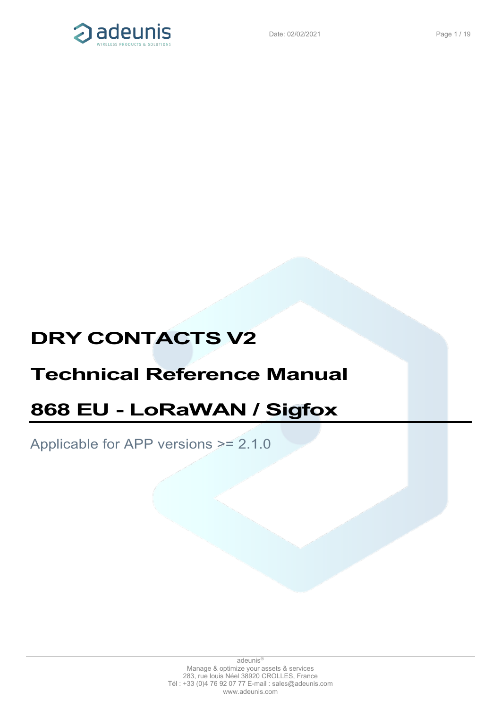

# **DRY CONTACTS V2**

# **Technical Reference Manual**

# **868 EU - LoRaWAN / Sigfox**

Applicable for APP versions >= 2.1.0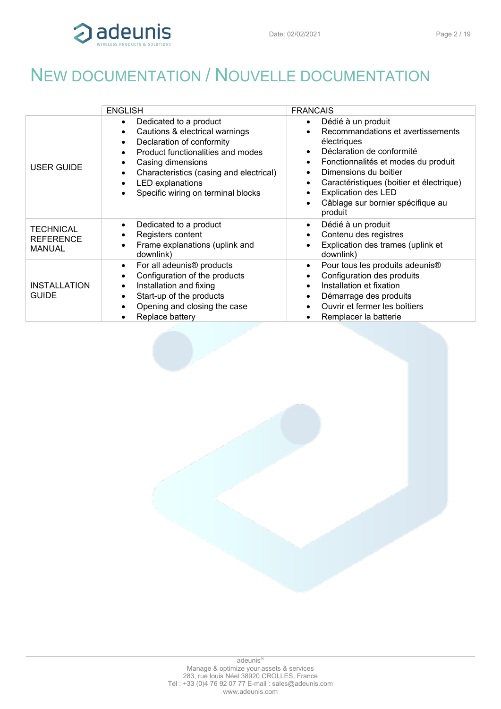

<span id="page-1-0"></span>

|                                                       | <b>ENGLISH</b>                                                                                                                                                                                                                                                                                                  | <b>FRANCAIS</b>                                                                                                                                                                                                                                                                                                         |
|-------------------------------------------------------|-----------------------------------------------------------------------------------------------------------------------------------------------------------------------------------------------------------------------------------------------------------------------------------------------------------------|-------------------------------------------------------------------------------------------------------------------------------------------------------------------------------------------------------------------------------------------------------------------------------------------------------------------------|
| <b>USER GUIDE</b>                                     | Dedicated to a product<br>$\bullet$<br>Cautions & electrical warnings<br>$\bullet$<br>Declaration of conformity<br>$\bullet$<br>Product functionalities and modes<br>Casing dimensions<br>Characteristics (casing and electrical)<br><b>LED</b> explanations<br>$\bullet$<br>Specific wiring on terminal blocks | Dédié à un produit<br>$\bullet$<br>Recommandations et avertissements<br>électriques<br>Déclaration de conformité<br>Fonctionnalités et modes du produit<br>$\bullet$<br>Dimensions du boitier<br>Caractéristiques (boitier et électrique)<br><b>Explication des LED</b><br>Câblage sur bornier spécifique au<br>produit |
| <b>TECHNICAL</b><br><b>REFERENCE</b><br><b>MANUAL</b> | Dedicated to a product<br>$\bullet$<br>Registers content<br>٠<br>Frame explanations (uplink and<br>$\bullet$<br>downlink)                                                                                                                                                                                       | Dédié à un produit<br>$\bullet$<br>Contenu des registres<br>Explication des trames (uplink et<br>downlink)                                                                                                                                                                                                              |
| <b>INSTALLATION</b><br><b>GUIDE</b>                   | For all adeunis <sup>®</sup> products<br>$\bullet$<br>Configuration of the products<br>٠<br>Installation and fixing<br>$\bullet$<br>Start-up of the products<br>$\bullet$<br>Opening and closing the case<br>Replace battery                                                                                    | Pour tous les produits adeunis <sup>®</sup><br>$\bullet$<br>Configuration des produits<br>Installation et fixation<br>Démarrage des produits<br>Ouvrir et fermer les boîtiers<br>Remplacer la batterie                                                                                                                  |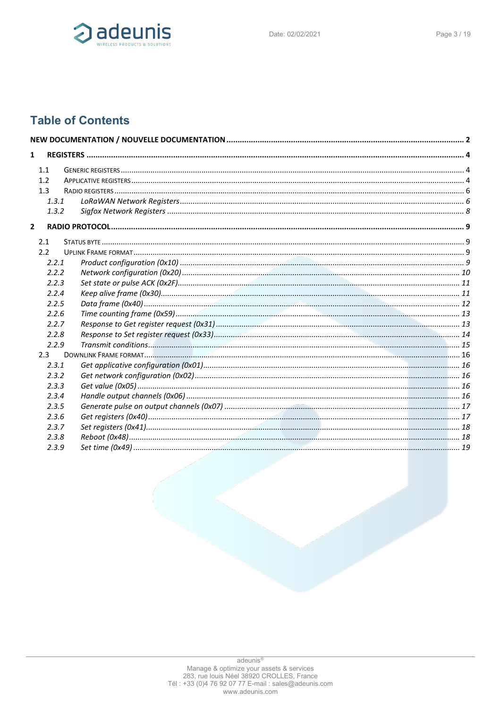

# **Table of Contents**

| $\mathbf{1}$   |         |  |
|----------------|---------|--|
|                | 1.1     |  |
|                | 1.2     |  |
|                | 1.3     |  |
|                | 1.3.1   |  |
|                | 1.3.2   |  |
|                |         |  |
| $\overline{2}$ |         |  |
|                | 2.1     |  |
|                | 2.2     |  |
|                | 2.2.1   |  |
|                | 2.2.2   |  |
|                | 2.2.3   |  |
|                | 2.2.4   |  |
|                | 2.2.5   |  |
|                | 2.2.6   |  |
|                | 2.2.7   |  |
|                | 2.2.8   |  |
|                | 2.2.9   |  |
|                | $2.3 -$ |  |
|                | 2.3.1   |  |
|                | 2.3.2   |  |
|                | 2.3.3   |  |
|                | 2.3.4   |  |
|                | 2.3.5   |  |
|                | 2.3.6   |  |
|                | 2.3.7   |  |
|                | 2.3.8   |  |
|                | 2.3.9   |  |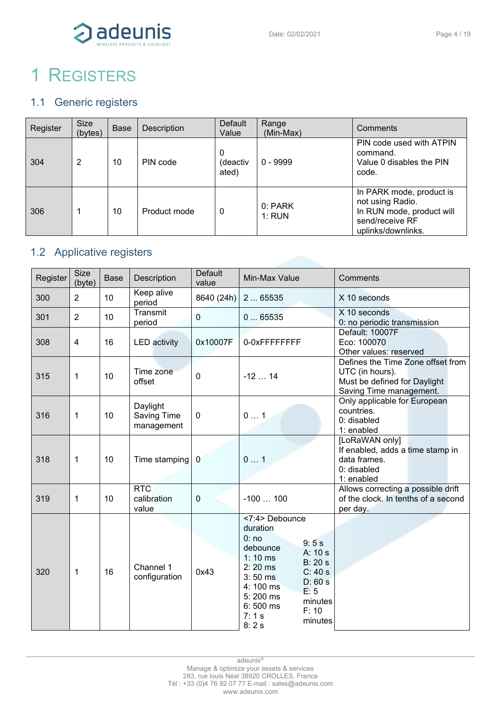

# <span id="page-3-0"></span>1 REGISTERS

# <span id="page-3-1"></span>1.1 Generic registers

| Register | <b>Size</b><br>(bytes) | <b>Base</b> | <b>Description</b> | Default<br>Value       | Range<br>(Min-Max) | Comments                                                                                                           |
|----------|------------------------|-------------|--------------------|------------------------|--------------------|--------------------------------------------------------------------------------------------------------------------|
| 304      | 2                      | 10          | PIN code           | 0<br>(deactiv<br>ated) | $0 - 9999$         | PIN code used with ATPIN<br>command.<br>Value 0 disables the PIN<br>code.                                          |
| 306      |                        | 10          | Product mode       | 0                      | 0: PARK<br>1: RUN  | In PARK mode, product is<br>not using Radio.<br>In RUN mode, product will<br>send/receive RF<br>uplinks/downlinks. |

# <span id="page-3-2"></span>1.2 Applicative registers

| Register | <b>Size</b><br>(byte) | <b>Base</b> | Description                           | Default<br>value | Min-Max Value                                                                                                                                                                                                                      | Comments                                                                                                        |
|----------|-----------------------|-------------|---------------------------------------|------------------|------------------------------------------------------------------------------------------------------------------------------------------------------------------------------------------------------------------------------------|-----------------------------------------------------------------------------------------------------------------|
| 300      | 2                     | 10          | Keep alive<br>period                  | 8640 (24h)       | 265535                                                                                                                                                                                                                             | X 10 seconds                                                                                                    |
| 301      | $\overline{2}$        | 10          | Transmit<br>period                    | $\overline{0}$   | 065535                                                                                                                                                                                                                             | X 10 seconds<br>0: no periodic transmission                                                                     |
| 308      | $\overline{4}$        | 16          | <b>LED</b> activity                   | 0x10007F         | 0-0xFFFFFFFF                                                                                                                                                                                                                       | Default: 10007F<br>Eco: 100070<br>Other values: reserved                                                        |
| 315      | 1                     | 10          | Time zone<br>offset                   | $\mathbf 0$      | $-1214$                                                                                                                                                                                                                            | Defines the Time Zone offset from<br>UTC (in hours).<br>Must be defined for Daylight<br>Saving Time management. |
| 316      | 1                     | 10          | Daylight<br>Saving Time<br>management | $\mathbf 0$      | 01                                                                                                                                                                                                                                 | Only applicable for European<br>countries.<br>0: disabled<br>1: enabled                                         |
| 318      | 1                     | 10          | Time stamping                         | $\theta$         | 01                                                                                                                                                                                                                                 | [LoRaWAN only]<br>If enabled, adds a time stamp in<br>data frames.<br>0: disabled<br>1: enabled                 |
| 319      | 1                     | 10          | <b>RTC</b><br>calibration<br>value    | $\mathbf 0$      | $-100100$                                                                                                                                                                                                                          | Allows correcting a possible drift<br>of the clock. In tenths of a second<br>per day.                           |
| 320      | 1                     | 16          | Channel 1<br>configuration            | 0x43             | <7:4> Debounce<br>duration<br>0:no<br>9:5s<br>debounce<br>A: 10 s<br>$1:10$ ms<br>B: 20s<br>$2:20$ ms<br>C: 40s<br>$3:50$ ms<br>D: 60s<br>4:100 ms<br>E: 5<br>5:200 ms<br>minutes<br>6:500 ms<br>F: 10<br>7:1 s<br>minutes<br>8:2s |                                                                                                                 |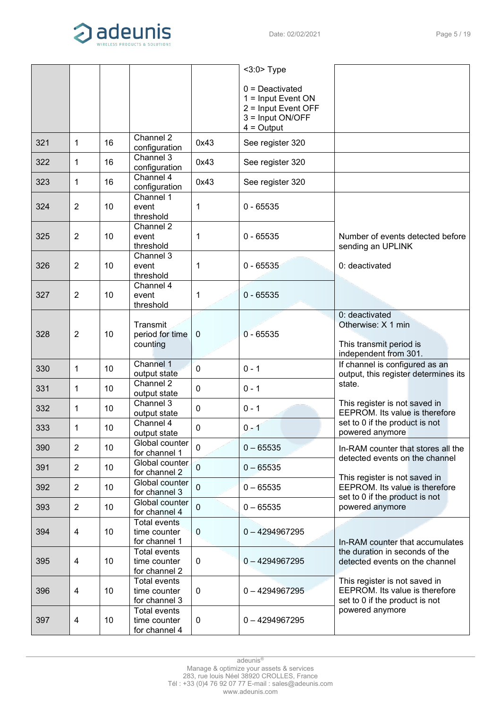

|     |                |    |                                                      |             | $<$ 3:0 $>$ Type                                                                                     |                                                                                                   |
|-----|----------------|----|------------------------------------------------------|-------------|------------------------------------------------------------------------------------------------------|---------------------------------------------------------------------------------------------------|
|     |                |    |                                                      |             | $0 =$ Deactivated<br>1 = Input Event ON<br>$2 =$ Input Event OFF<br>3 = Input ON/OFF<br>$4 =$ Output |                                                                                                   |
| 321 | 1              | 16 | Channel 2<br>configuration                           | 0x43        | See register 320                                                                                     |                                                                                                   |
| 322 | 1              | 16 | Channel 3<br>configuration                           | 0x43        | See register 320                                                                                     |                                                                                                   |
| 323 | 1              | 16 | Channel 4<br>configuration                           | 0x43        | See register 320                                                                                     |                                                                                                   |
| 324 | $\overline{2}$ | 10 | Channel 1<br>event<br>threshold                      | 1           | $0 - 65535$                                                                                          |                                                                                                   |
| 325 | $\overline{2}$ | 10 | Channel 2<br>event<br>threshold                      | 1           | $0 - 65535$                                                                                          | Number of events detected before<br>sending an UPLINK                                             |
| 326 | $\overline{2}$ | 10 | Channel 3<br>event<br>threshold                      | 1           | $0 - 65535$                                                                                          | 0: deactivated                                                                                    |
| 327 | $\overline{2}$ | 10 | Channel 4<br>event<br>threshold                      | 1           | $0 - 65535$                                                                                          |                                                                                                   |
| 328 | $\overline{2}$ | 10 | Transmit<br>period for time<br>counting              | 0           | $0 - 65535$                                                                                          | 0: deactivated<br>Otherwise: X 1 min<br>This transmit period is<br>independent from 301.          |
| 330 | 1              | 10 | Channel 1<br>output state                            | 0           | $0 - 1$                                                                                              | If channel is configured as an<br>output, this register determines its                            |
| 331 | 1              | 10 | Channel 2<br>output state                            | 0           | $0 - 1$                                                                                              | state.                                                                                            |
| 332 | 1              | 10 | Channel 3<br>output state                            | 0           | $0 - 1$                                                                                              | This register is not saved in<br>EEPROM. Its value is therefore                                   |
| 333 | $\mathbf{1}$   | 10 | Channel 4<br>output state                            | 0           | $0 - 1$                                                                                              | set to 0 if the product is not<br>powered anymore                                                 |
| 390 | $\overline{2}$ | 10 | Global counter<br>for channel 1                      | $\mathbf 0$ | $0 - 65535$                                                                                          | In-RAM counter that stores all the<br>detected events on the channel                              |
| 391 | $\overline{2}$ | 10 | Global counter<br>for channel 2                      | $\mathbf 0$ | $0 - 65535$                                                                                          | This register is not saved in                                                                     |
| 392 | $\overline{2}$ | 10 | Global counter<br>for channel 3                      | $\mathbf 0$ | $0 - 65535$                                                                                          | EEPROM. Its value is therefore<br>set to 0 if the product is not                                  |
| 393 | $\overline{2}$ | 10 | Global counter<br>for channel 4                      | $\mathbf 0$ | $0 - 65535$                                                                                          | powered anymore                                                                                   |
| 394 | 4              | 10 | <b>Total events</b><br>time counter<br>for channel 1 | $\mathbf 0$ | $0 - 4294967295$                                                                                     | In-RAM counter that accumulates                                                                   |
| 395 | $\overline{4}$ | 10 | <b>Total events</b><br>time counter<br>for channel 2 | 0           | $0 - 4294967295$                                                                                     | the duration in seconds of the<br>detected events on the channel                                  |
| 396 | $\overline{4}$ | 10 | <b>Total events</b><br>time counter<br>for channel 3 | 0           | $0 - 4294967295$                                                                                     | This register is not saved in<br>EEPROM. Its value is therefore<br>set to 0 if the product is not |
| 397 | $\overline{4}$ | 10 | <b>Total events</b><br>time counter<br>for channel 4 | 0           | $0 - 4294967295$                                                                                     | powered anymore                                                                                   |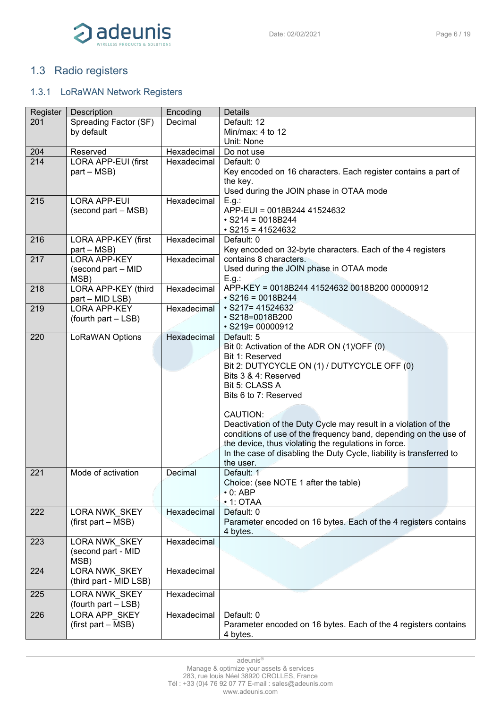

# <span id="page-5-0"></span>1.3 Radio registers

# <span id="page-5-1"></span>1.3.1 LoRaWAN Network Registers

| Register | <b>Description</b>     | Encoding    | <b>Details</b>                                                       |
|----------|------------------------|-------------|----------------------------------------------------------------------|
| 201      | Spreading Factor (SF)  | Decimal     | Default: 12                                                          |
|          | by default             |             | Min/max: 4 to 12                                                     |
|          |                        |             | Unit: None                                                           |
| 204      | Reserved               | Hexadecimal | Do not use                                                           |
| 214      | LORA APP-EUI (first    | Hexadecimal | Default: 0                                                           |
|          | part - MSB)            |             | Key encoded on 16 characters. Each register contains a part of       |
|          |                        |             | the key.                                                             |
|          |                        |             | Used during the JOIN phase in OTAA mode                              |
| 215      | <b>LORA APP-EUI</b>    | Hexadecimal | E.g.:                                                                |
|          | (second part – MSB)    |             | APP-EUI = 0018B244 41524632                                          |
|          |                        |             | $\cdot$ S214 = 0018B244                                              |
|          |                        |             | $\cdot$ S215 = 41524632                                              |
| 216      |                        | Hexadecimal | Default: 0                                                           |
|          | LORA APP-KEY (first    |             |                                                                      |
|          | part – MSB)            |             | Key encoded on 32-byte characters. Each of the 4 registers           |
| 217      | <b>LORA APP-KEY</b>    | Hexadecimal | contains 8 characters.                                               |
|          | (second part - MID     |             | Used during the JOIN phase in OTAA mode                              |
|          | MSB)                   |             | E.g.:                                                                |
| 218      | LORA APP-KEY (third    | Hexadecimal | APP-KEY = 0018B244 41524632 0018B200 00000912                        |
|          | part - MID LSB)        |             | $\cdot$ S216 = 0018B244                                              |
| 219      | <b>LORA APP-KEY</b>    | Hexadecimal | $\cdot$ S217= 41524632                                               |
|          | (fourth part - LSB)    |             | · S218=0018B200                                                      |
|          |                        |             | $\cdot$ S219= 00000912                                               |
| 220      | LoRaWAN Options        | Hexadecimal | Default: 5                                                           |
|          |                        |             | Bit 0: Activation of the ADR ON (1)/OFF (0)                          |
|          |                        |             | Bit 1: Reserved                                                      |
|          |                        |             | Bit 2: DUTYCYCLE ON (1) / DUTYCYCLE OFF (0)                          |
|          |                        |             | Bits 3 & 4: Reserved                                                 |
|          |                        |             | Bit 5: CLASS A                                                       |
|          |                        |             | Bits 6 to 7: Reserved                                                |
|          |                        |             |                                                                      |
|          |                        |             | <b>CAUTION:</b>                                                      |
|          |                        |             | Deactivation of the Duty Cycle may result in a violation of the      |
|          |                        |             | conditions of use of the frequency band, depending on the use of     |
|          |                        |             | the device, thus violating the regulations in force.                 |
|          |                        |             | In the case of disabling the Duty Cycle, liability is transferred to |
|          |                        |             | the user.                                                            |
| 221      | Mode of activation     | Decimal     | Default: 1                                                           |
|          |                        |             |                                                                      |
|          |                        |             | Choice: (see NOTE 1 after the table)                                 |
|          |                        |             | $\cdot$ 0: ABP                                                       |
|          |                        |             | $\cdot$ 1: OTAA                                                      |
| 222      | LORA NWK_SKEY          | Hexadecimal | Default: 0                                                           |
|          | (first part – MSB)     |             | Parameter encoded on 16 bytes. Each of the 4 registers contains      |
|          |                        |             | 4 bytes.                                                             |
| 223      | <b>LORA NWK SKEY</b>   | Hexadecimal |                                                                      |
|          | (second part - MID     |             |                                                                      |
|          | MSB)                   |             |                                                                      |
| 224      | LORA NWK SKEY          | Hexadecimal |                                                                      |
|          | (third part - MID LSB) |             |                                                                      |
|          |                        | Hexadecimal |                                                                      |
| 225      | LORA NWK_SKEY          |             |                                                                      |
|          | (fourth part - LSB)    |             |                                                                      |
| 226      | LORA APP SKEY          | Hexadecimal | Default: 0                                                           |
|          | (first part – MSB)     |             | Parameter encoded on 16 bytes. Each of the 4 registers contains      |
|          |                        |             | 4 bytes.                                                             |

adeunis<sup>®</sup>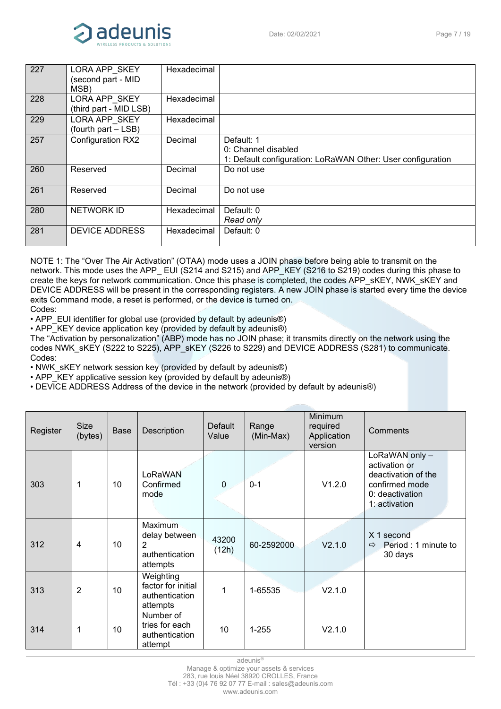

| 227 | LORA APP SKEY<br>(second part - MID<br>MSB) | Hexadecimal |                                                                                                  |
|-----|---------------------------------------------|-------------|--------------------------------------------------------------------------------------------------|
| 228 | LORA APP SKEY<br>(third part - MID LSB)     | Hexadecimal |                                                                                                  |
| 229 | LORA APP SKEY<br>(fourth part - LSB)        | Hexadecimal |                                                                                                  |
| 257 | <b>Configuration RX2</b>                    | Decimal     | Default: 1<br>0: Channel disabled<br>1: Default configuration: LoRaWAN Other: User configuration |
| 260 | Reserved                                    | Decimal     | Do not use                                                                                       |
| 261 | Reserved                                    | Decimal     | Do not use                                                                                       |
| 280 | <b>NETWORK ID</b>                           | Hexadecimal | Default: 0<br>Read only                                                                          |
| 281 | <b>DEVICE ADDRESS</b>                       | Hexadecimal | Default: 0                                                                                       |

NOTE 1: The "Over The Air Activation" (OTAA) mode uses a JOIN phase before being able to transmit on the network. This mode uses the APP\_ EUI (S214 and S215) and APP\_KEY (S216 to S219) codes during this phase to create the keys for network communication. Once this phase is completed, the codes APP\_sKEY, NWK\_sKEY and DEVICE ADDRESS will be present in the corresponding registers. A new JOIN phase is started every time the device exits Command mode, a reset is performed, or the device is turned on. Codes:

• APP\_EUI identifier for global use (provided by default by adeunis®)

• APP\_KEY device application key (provided by default by adeunis®)

The "Activation by personalization" (ABP) mode has no JOIN phase; it transmits directly on the network using the codes NWK\_sKEY (S222 to S225), APP\_sKEY (S226 to S229) and DEVICE ADDRESS (S281) to communicate. Codes:

• NWK\_sKEY network session key (provided by default by adeunis®)

• APP\_KEY applicative session key (provided by default by adeunis®)

• DEVICE ADDRESS Address of the device in the network (provided by default by adeunis®)

| Register | <b>Size</b><br>(bytes) | <b>Base</b> | Description                                                              | <b>Default</b><br>Value | Range<br>(Min-Max) | <b>Minimum</b><br>required<br>Application<br>version | Comments                                                                                                     |
|----------|------------------------|-------------|--------------------------------------------------------------------------|-------------------------|--------------------|------------------------------------------------------|--------------------------------------------------------------------------------------------------------------|
| 303      | $\mathbf 1$            | 10          | LoRaWAN<br>Confirmed<br>mode                                             | $\boldsymbol{0}$        | $0 - 1$            | V1.2.0                                               | LoRaWAN only -<br>activation or<br>deactivation of the<br>confirmed mode<br>0: deactivation<br>1: activation |
| 312      | $\overline{4}$         | 10          | Maximum<br>delay between<br>$\overline{2}$<br>authentication<br>attempts | 43200<br>(12h)          | 60-2592000         | V2.1.0                                               | X 1 second<br>Period: 1 minute to<br>$\Rightarrow$<br>30 days                                                |
| 313      | $\overline{2}$         | 10          | Weighting<br>factor for initial<br>authentication<br>attempts            | 1                       | 1-65535            | V2.1.0                                               |                                                                                                              |
| 314      | 1                      | 10          | Number of<br>tries for each<br>authentication<br>attempt                 | 10                      | $1 - 255$          | V2.1.0                                               |                                                                                                              |

adeunis®

Manage & optimize your assets & services

283, rue louis Néel 38920 CROLLES, France Tél : +33 (0)4 76 92 07 77 E-mail : sales@adeunis.com

www.adeunis.com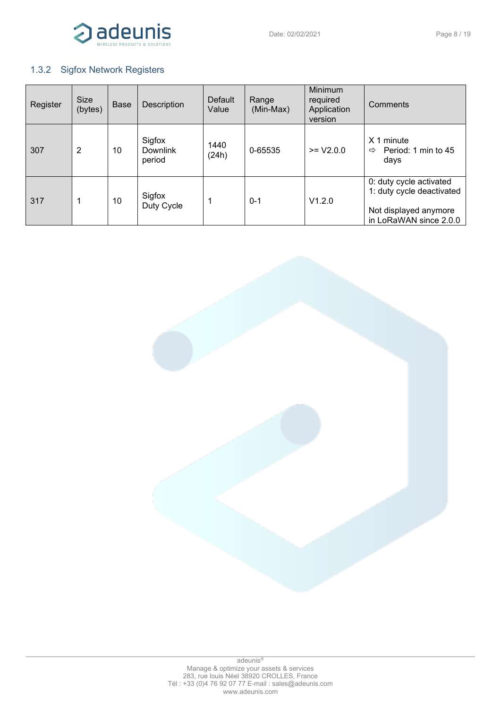

# <span id="page-7-0"></span>1.3.2 Sigfox Network Registers

| Register | Size<br>(bytes) | Base | Description                         | Default<br>Value | Range<br>(Min-Max) | Minimum<br>required<br>Application<br>version | Comments                                                                                                |
|----------|-----------------|------|-------------------------------------|------------------|--------------------|-----------------------------------------------|---------------------------------------------------------------------------------------------------------|
| 307      | $\overline{2}$  | 10   | Sigfox<br><b>Downlink</b><br>period | 1440<br>(24h)    | 0-65535            | $>= V2.0.0$                                   | X <sub>1</sub><br>minute<br>Period: 1 min to 45<br>⇨<br>days                                            |
| 317      | 1               | 10   | Sigfox<br>Duty Cycle                |                  | $0 - 1$            | V1.2.0                                        | 0: duty cycle activated<br>1: duty cycle deactivated<br>Not displayed anymore<br>in LoRaWAN since 2.0.0 |

adeunis® Manage & optimize your assets & services 283, rue louis Néel 38920 CROLLES, France Tél : +33 (0)4 76 92 07 77 E-mail : sales@adeunis.com www.adeunis.com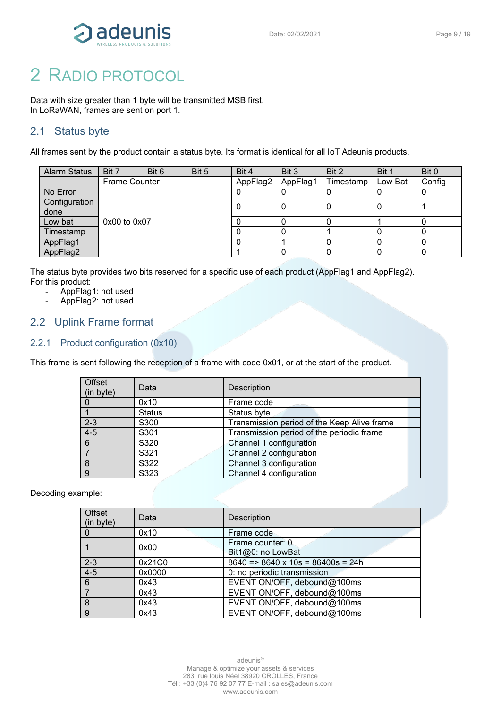

# <span id="page-8-0"></span>2 RADIO PROTOCOL

Data with size greater than 1 byte will be transmitted MSB first. In LoRaWAN, frames are sent on port 1.

# <span id="page-8-1"></span>2.1 Status byte

All frames sent by the product contain a status byte. Its format is identical for all IoT Adeunis products.

| <b>Alarm Status</b> | Bit 7                | Bit 6 | Bit 5 | Bit 4    | Bit 3    | Bit 2     | Bit 1   | Bit 0  |
|---------------------|----------------------|-------|-------|----------|----------|-----------|---------|--------|
|                     | <b>Frame Counter</b> |       |       | AppFlag2 | AppFlag1 | Timestamp | Low Bat | Config |
| No Error            |                      |       |       |          |          |           |         | υ      |
| Configuration       |                      |       |       |          |          |           | 0       |        |
| done                |                      |       |       |          |          |           |         |        |
| Low bat             | $0x00$ to $0x07$     |       |       |          |          |           |         | 0      |
| Timestamp           |                      |       |       |          |          |           |         |        |
| AppFlag1            |                      |       |       |          |          |           | 0       | 0      |
| AppFlag2            |                      |       |       |          |          |           | 0       | 0      |

The status byte provides two bits reserved for a specific use of each product (AppFlag1 and AppFlag2). For this product:

- AppFlag1: not used
- AppFlag2: not used

# <span id="page-8-2"></span>2.2 Uplink Frame format

# <span id="page-8-3"></span>2.2.1 Product configuration (0x10)

This frame is sent following the reception of a frame with code 0x01, or at the start of the product.

| Offset<br>(in byte) | Data          | Description                                 |
|---------------------|---------------|---------------------------------------------|
|                     | 0x10          | Frame code<br>$- - -$                       |
|                     | <b>Status</b> | Status byte                                 |
| $2 - 3$             | S300          | Transmission period of the Keep Alive frame |
| $4 - 5$             | S301          | Transmission period of the periodic frame   |
| 6                   | S320          | Channel 1 configuration                     |
|                     | S321          | Channel 2 configuration                     |
| 8                   | S322          | Channel 3 configuration                     |
| 9                   | S323          | Channel 4 configuration                     |

Decoding example:

| Offset<br>(in byte) | Data   | <b>Description</b>                            |
|---------------------|--------|-----------------------------------------------|
| 0                   | 0x10   | Frame code                                    |
|                     | 0x00   | Frame counter: 0<br>Bit1@0: no LowBat         |
| $2 - 3$             | 0x21C0 | $8640 \approx 8640 \times 10s = 86400s = 24h$ |
| $4 - 5$             | 0x0000 | 0: no periodic transmission                   |
| 6                   | 0x43   | EVENT ON/OFF, debound@100ms                   |
|                     | 0x43   | EVENT ON/OFF, debound@100ms                   |
| 8                   | 0x43   | EVENT ON/OFF, debound@100ms                   |
| 9                   | 0x43   | EVENT ON/OFF, debound@100ms                   |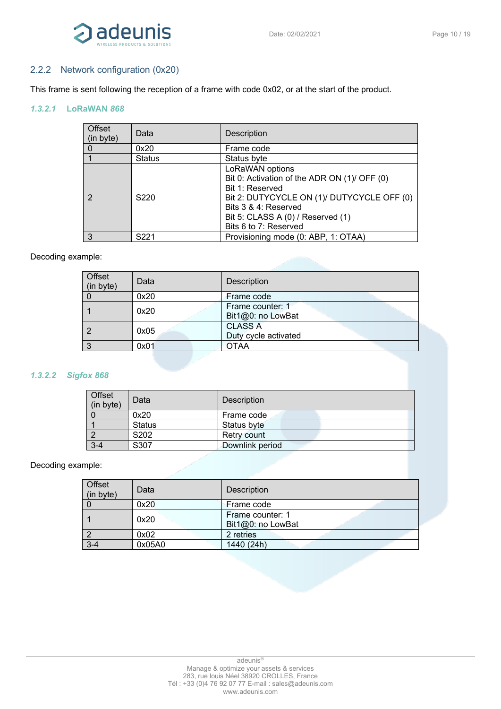

# <span id="page-9-0"></span>2.2.2 Network configuration (0x20)

This frame is sent following the reception of a frame with code 0x02, or at the start of the product.

#### *1.3.2.1* **LoRaWAN** *868*

| Offset<br>(in byte) | Data          | Description                                                                                                                                                                                                            |
|---------------------|---------------|------------------------------------------------------------------------------------------------------------------------------------------------------------------------------------------------------------------------|
|                     | 0x20          | Frame code                                                                                                                                                                                                             |
|                     | <b>Status</b> | Status byte                                                                                                                                                                                                            |
| 2                   | S220          | LoRaWAN options<br>Bit 0: Activation of the ADR ON (1)/ OFF (0)<br>Bit 1: Reserved<br>Bit 2: DUTYCYCLE ON (1)/ DUTYCYCLE OFF (0)<br>Bits 3 & 4: Reserved<br>Bit 5: CLASS A (0) / Reserved (1)<br>Bits 6 to 7: Reserved |
| 3                   | S221          | Provisioning mode (0: ABP, 1: OTAA)                                                                                                                                                                                    |

#### Decoding example:

| Offset<br>(in byte) | Data | Description                            |
|---------------------|------|----------------------------------------|
|                     | 0x20 | Frame code                             |
|                     | 0x20 | Frame counter: 1<br>Bit1@0: no LowBat  |
|                     | 0x05 | <b>CLASS A</b><br>Duty cycle activated |
|                     | 0x01 | <b>OTAA</b>                            |

#### *1.3.2.2 Sigfox 868*

| Offset<br>(in byte) | Data          | <b>Description</b> |
|---------------------|---------------|--------------------|
|                     | 0x20          | Frame code         |
|                     | <b>Status</b> | Status byte        |
|                     | S202          | Retry count        |
| 3-4                 | S307          | Downlink period    |

#### Decoding example:

| Offset<br>(in byte) | Data   | <b>Description</b>                    |
|---------------------|--------|---------------------------------------|
|                     | 0x20   | Frame code                            |
|                     | 0x20   | Frame counter: 1<br>Bit1@0: no LowBat |
|                     | 0x02   | 2 retries                             |
| $3-4$               | 0x05A0 | 1440 (24h)                            |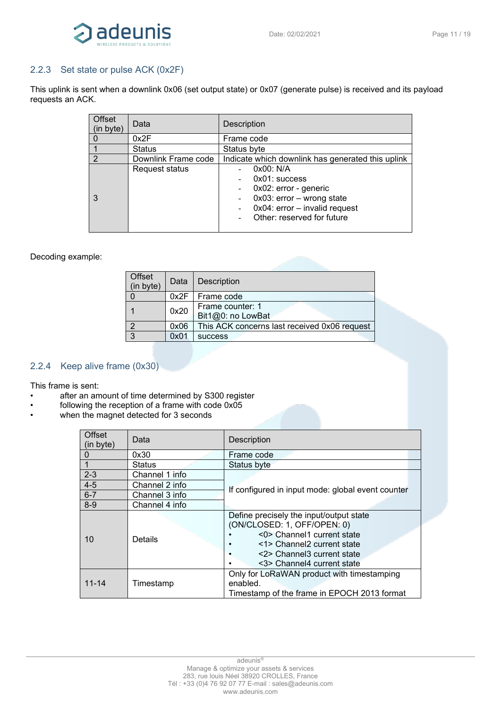

# <span id="page-10-0"></span>2.2.3 Set state or pulse ACK (0x2F)

This uplink is sent when a downlink 0x06 (set output state) or 0x07 (generate pulse) is received and its payload requests an ACK.

| Offset<br>(in byte) | Data                | <b>Description</b>                                                                                                                                    |
|---------------------|---------------------|-------------------------------------------------------------------------------------------------------------------------------------------------------|
|                     | 0x2F                | Frame code                                                                                                                                            |
|                     | <b>Status</b>       | Status byte                                                                                                                                           |
| $\mathcal{P}$       | Downlink Frame code | Indicate which downlink has generated this uplink                                                                                                     |
|                     | Request status      | 0x00: N/A<br>$0x01$ : success<br>0x02: error - generic<br>$0x03$ : error - wrong state<br>0x04: error - invalid request<br>Other: reserved for future |

#### Decoding example:

| Offset<br>(in byte) | Data | <b>Description</b>                           |
|---------------------|------|----------------------------------------------|
|                     | 0x2F | Frame code                                   |
|                     | 0x20 | Frame counter: 1<br>Bit1@0: no LowBat        |
| റ                   | 0x06 | This ACK concerns last received 0x06 request |
| 3                   | 0x01 | <b>SUCCESS</b>                               |

### <span id="page-10-1"></span>2.2.4 Keep alive frame (0x30)

This frame is sent:

- after an amount of time determined by S300 register
- following the reception of a frame with code 0x05<br>• when the magnet detected for 3 seconds
- when the magnet detected for 3 seconds

| Offset<br>(in byte) | Data           | Description                                                                                                                                                                                    |
|---------------------|----------------|------------------------------------------------------------------------------------------------------------------------------------------------------------------------------------------------|
|                     | 0x30           | Frame code                                                                                                                                                                                     |
|                     | Status         | Status byte                                                                                                                                                                                    |
| $2 - 3$             | Channel 1 info |                                                                                                                                                                                                |
| $4 - 5$             | Channel 2 info |                                                                                                                                                                                                |
| $6 - 7$             | Channel 3 info | If configured in input mode: global event counter                                                                                                                                              |
| $8 - 9$             | Channel 4 info |                                                                                                                                                                                                |
| 10                  | Details        | Define precisely the input/output state<br>(ON/CLOSED: 1, OFF/OPEN: 0)<br><0> Channel1 current state<br><1> Channel2 current state<br><2> Channel3 current state<br><3> Channel4 current state |
| $11 - 14$           | Timestamp      | Only for LoRaWAN product with timestamping<br>enabled.<br>Timestamp of the frame in EPOCH 2013 format                                                                                          |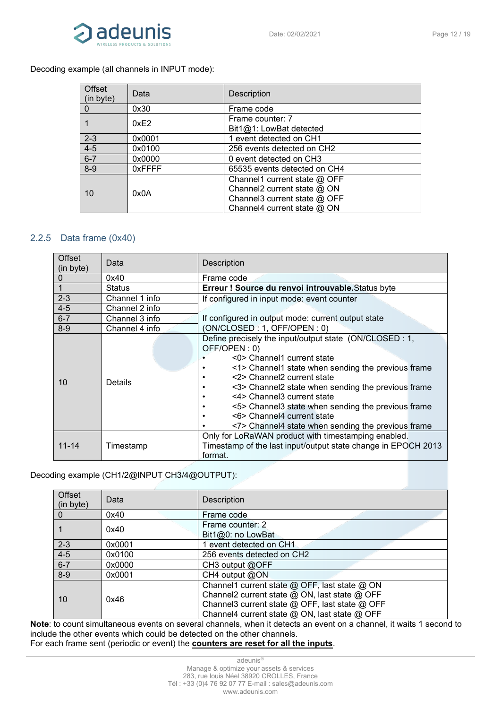

# Decoding example (all channels in INPUT mode):

| Offset<br>(in byte) | Data   | <b>Description</b>                                                                                                           |
|---------------------|--------|------------------------------------------------------------------------------------------------------------------------------|
| 0                   | 0x30   | Frame code                                                                                                                   |
|                     | 0xE2   | Frame counter: 7<br>Bit1@1: LowBat detected                                                                                  |
| $2 - 3$             | 0x0001 | 1 event detected on CH1                                                                                                      |
| $4 - 5$             | 0x0100 | 256 events detected on CH2                                                                                                   |
| $6 - 7$             | 0x0000 | 0 event detected on CH3                                                                                                      |
| $8-9$               | 0xFFFF | 65535 events detected on CH4                                                                                                 |
| 10                  | 0x0A   | Channel1 current state $@$ OFF<br>Channel2 current state @ ON<br>Channel3 current state @ OFF<br>Channel4 current state @ ON |

# <span id="page-11-0"></span>2.2.5 Data frame (0x40)

| Offset<br>(in byte) | Data           | Description                                                                                                                                                                                                                                                                                                                                                                                                            |
|---------------------|----------------|------------------------------------------------------------------------------------------------------------------------------------------------------------------------------------------------------------------------------------------------------------------------------------------------------------------------------------------------------------------------------------------------------------------------|
| $\Omega$            | 0x40           | Frame code                                                                                                                                                                                                                                                                                                                                                                                                             |
|                     | <b>Status</b>  | Erreur ! Source du renvoi introuvable. Status byte                                                                                                                                                                                                                                                                                                                                                                     |
| $2 - 3$             | Channel 1 info | If configured in input mode: event counter                                                                                                                                                                                                                                                                                                                                                                             |
| $4 - 5$             | Channel 2 info |                                                                                                                                                                                                                                                                                                                                                                                                                        |
| $6 - 7$             | Channel 3 info | If configured in output mode: current output state                                                                                                                                                                                                                                                                                                                                                                     |
| $8 - 9$             | Channel 4 info | (ON/CLOSED: 1, OFF/OPEN: 0)                                                                                                                                                                                                                                                                                                                                                                                            |
| 10                  | <b>Details</b> | Define precisely the input/output state (ON/CLOSED: 1,<br>OFF/OPEN: 0)<br><0> Channel1 current state<br><1> Channel1 state when sending the previous frame<br><2> Channel2 current state<br><3> Channel2 state when sending the previous frame<br><4> Channel3 current state<br><5> Channel3 state when sending the previous frame<br><6> Channel4 current state<br><7> Channel4 state when sending the previous frame |
| $11 - 14$           | Timestamp      | Only for LoRaWAN product with timestamping enabled.<br>Timestamp of the last input/output state change in EPOCH 2013<br>format.                                                                                                                                                                                                                                                                                        |

# Decoding example (CH1/2@INPUT CH3/4@OUTPUT):

| Offset<br>(in byte) | Data   | Description                                                                                                                                                                                       |
|---------------------|--------|---------------------------------------------------------------------------------------------------------------------------------------------------------------------------------------------------|
| 0                   | 0x40   | Frame code                                                                                                                                                                                        |
|                     | 0x40   | Frame counter: 2<br>Bit1@0: no LowBat                                                                                                                                                             |
| $2 - 3$             | 0x0001 | 1 event detected on CH1                                                                                                                                                                           |
| $4 - 5$             | 0x0100 | 256 events detected on CH2                                                                                                                                                                        |
| $6 - 7$             | 0x0000 | CH3 output @OFF                                                                                                                                                                                   |
| $8-9$               | 0x0001 | CH4 output @ON                                                                                                                                                                                    |
| 10                  | 0x46   | Channel1 current state @ OFF, last state @ ON<br>Channel2 current state @ ON, last state @ OFF<br>Channel3 current state @ OFF, last state @ OFF<br>Channel4 current state @ ON, last state @ OFF |

**Note**: to count simultaneous events on several channels, when it detects an event on a channel, it waits 1 second to include the other events which could be detected on the other channels. For each frame sent (periodic or event) the **counters are reset for all the inputs**.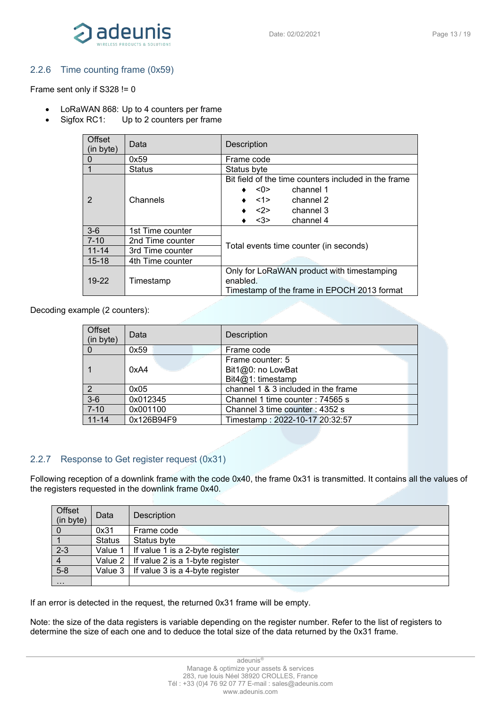

### <span id="page-12-0"></span>2.2.6 Time counting frame (0x59)

Frame sent only if S328 != 0

- LoRaWAN 868: Up to 4 counters per frame
- Sigfox RC1: Up to 2 counters per frame

| Offset<br>(in byte) | Data             | <b>Description</b>                                                                                    |  |
|---------------------|------------------|-------------------------------------------------------------------------------------------------------|--|
| $\mathbf 0$         | 0x59             | Frame code                                                                                            |  |
| $\overline{1}$      | <b>Status</b>    | Status byte                                                                                           |  |
|                     |                  | Bit field of the time counters included in the frame                                                  |  |
|                     |                  | $<$ 0 $>$<br>channel 1                                                                                |  |
| $\overline{2}$      | Channels         | channel 2<br>$<$ 1>                                                                                   |  |
|                     |                  | <2><br>channel 3                                                                                      |  |
|                     |                  | channel 4<br>$3$                                                                                      |  |
| $3-6$               | 1st Time counter |                                                                                                       |  |
| $7 - 10$            | 2nd Time counter |                                                                                                       |  |
| $11 - 14$           | 3rd Time counter | Total events time counter (in seconds)                                                                |  |
| $15 - 18$           | 4th Time counter |                                                                                                       |  |
| $19 - 22$           | Timestamp        | Only for LoRaWAN product with timestamping<br>enabled.<br>Timestamp of the frame in EPOCH 2013 format |  |

Decoding example (2 counters):

| Offset<br>(in byte) | Data       | Description                         |
|---------------------|------------|-------------------------------------|
|                     | 0x59       | Frame code                          |
|                     |            | Frame counter: 5                    |
|                     | 0xA4       | Bit1@0: no LowBat                   |
|                     |            | Bit $4@1$ : timestamp               |
| 2                   | 0x05       | channel 1 & 3 included in the frame |
| $3-6$               | 0x012345   | Channel 1 time counter: 74565 s     |
| $7 - 10$            | 0x001100   | Channel 3 time counter: 4352 s      |
| $11 - 14$           | 0x126B94F9 | Timestamp: 2022-10-17 20:32:57      |

# <span id="page-12-1"></span>2.2.7 Response to Get register request (0x31)

Following reception of a downlink frame with the code 0x40, the frame 0x31 is transmitted. It contains all the values of the registers requested in the downlink frame 0x40.

| Offset<br>(in byte) | Data          | Description                                    |
|---------------------|---------------|------------------------------------------------|
|                     | 0x31          | Frame code                                     |
|                     | <b>Status</b> | Status byte                                    |
| $2 - 3$             | Value 1       | If value 1 is a 2-byte register                |
| $\overline{4}$      |               | Value $2 \mid$ If value 2 is a 1-byte register |
| $5-8$               |               | Value $3 \mid$ If value 3 is a 4-byte register |
| $\cdots$            |               |                                                |

If an error is detected in the request, the returned 0x31 frame will be empty.

Note: the size of the data registers is variable depending on the register number. Refer to the list of registers to determine the size of each one and to deduce the total size of the data returned by the 0x31 frame.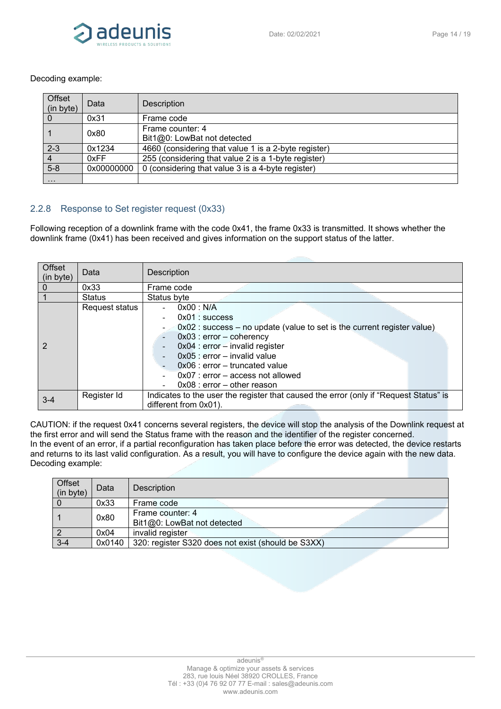

#### Decoding example:

| Offset<br>(in byte) | Data       | <b>Description</b>                                   |
|---------------------|------------|------------------------------------------------------|
| $\Omega$            | 0x31       | Frame code                                           |
|                     | 0x80       | Frame counter: 4<br>Bit1@0: LowBat not detected      |
| $2 - 3$             | 0x1234     | 4660 (considering that value 1 is a 2-byte register) |
| $\overline{4}$      | 0xFF       | 255 (considering that value 2 is a 1-byte register)  |
| $5-8$               | 0x00000000 | 0 (considering that value 3 is a 4-byte register)    |
| $\cdots$            |            |                                                      |

# <span id="page-13-0"></span>2.2.8 Response to Set register request (0x33)

Following reception of a downlink frame with the code 0x41, the frame 0x33 is transmitted. It shows whether the downlink frame (0x41) has been received and gives information on the support status of the latter.

| Offset<br>(in byte) | Data           | <b>Description</b>                                                                                                                                                                                                                                                                                                                                                                         |
|---------------------|----------------|--------------------------------------------------------------------------------------------------------------------------------------------------------------------------------------------------------------------------------------------------------------------------------------------------------------------------------------------------------------------------------------------|
|                     | 0x33           | Frame code                                                                                                                                                                                                                                                                                                                                                                                 |
|                     | <b>Status</b>  | Status byte                                                                                                                                                                                                                                                                                                                                                                                |
|                     | Request status | 0x00 : N/A<br>$0x01$ : success<br>$\overline{\phantom{0}}$<br>$0x02$ : success – no update (value to set is the current register value)<br>$0x03$ : error - coherency<br>$\blacksquare$<br>0x04 : error - invalid register<br>$\blacksquare$<br>$0x05$ : error – invalid value<br>$0x06$ : error – truncated value<br>$0x07$ : error – access not allowed<br>$0x08$ : error - other reason |
| $3 - 4$             | Register Id    | Indicates to the user the register that caused the error (only if "Request Status" is<br>different from 0x01).                                                                                                                                                                                                                                                                             |

CAUTION: if the request 0x41 concerns several registers, the device will stop the analysis of the Downlink request at the first error and will send the Status frame with the reason and the identifier of the register concerned. In the event of an error, if a partial reconfiguration has taken place before the error was detected, the device restarts and returns to its last valid configuration. As a result, you will have to configure the device again with the new data. Decoding example:

| Offset<br>(in byte) | Data   | <b>Description</b>                                 |  |
|---------------------|--------|----------------------------------------------------|--|
|                     | 0x33   | Frame code                                         |  |
|                     | 0x80   | Frame counter: 4<br>Bit1@0: LowBat not detected    |  |
|                     | 0x04   | invalid register                                   |  |
| $3 - 4$             | 0x0140 | 320: register S320 does not exist (should be S3XX) |  |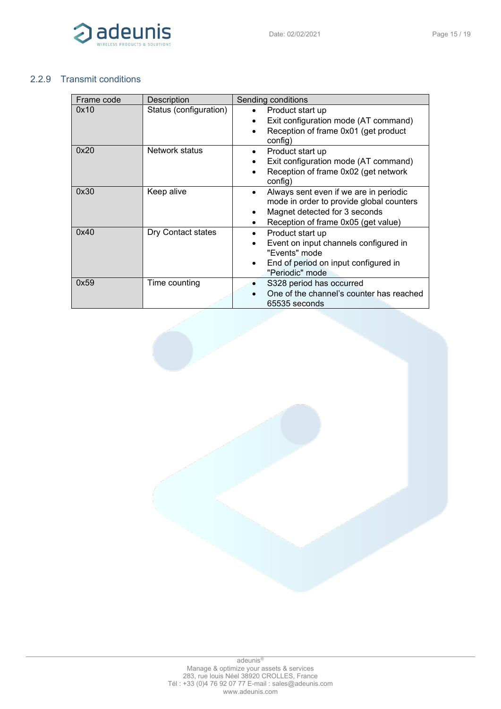

# <span id="page-14-0"></span>2.2.9 Transmit conditions

| Frame code | Description            | Sending conditions                                                                                                                                         |
|------------|------------------------|------------------------------------------------------------------------------------------------------------------------------------------------------------|
| 0x10       | Status (configuration) | Product start up<br>Exit configuration mode (AT command)<br>Reception of frame 0x01 (get product<br>config)                                                |
| 0x20       | Network status         | Product start up<br>٠<br>Exit configuration mode (AT command)<br>Reception of frame 0x02 (get network<br>config)                                           |
| 0x30       | Keep alive             | Always sent even if we are in periodic<br>mode in order to provide global counters<br>Magnet detected for 3 seconds<br>Reception of frame 0x05 (get value) |
| 0x40       | Dry Contact states     | Product start up<br>Event on input channels configured in<br>"Events" mode<br>End of period on input configured in<br>"Periodic" mode                      |
| 0x59       | Time counting          | S328 period has occurred<br>One of the channel's counter has reached<br>65535 seconds                                                                      |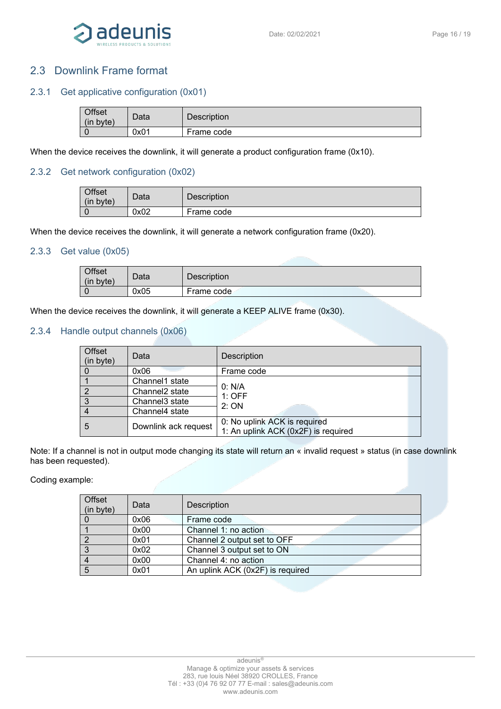

# <span id="page-15-0"></span>2.3 Downlink Frame format

# <span id="page-15-1"></span>2.3.1 Get applicative configuration (0x01)

| <b>Offset</b><br>(in<br>byte) | Data | Description |
|-------------------------------|------|-------------|
|                               | 0x01 | Frame code  |

When the device receives the downlink, it will generate a product configuration frame (0x10).

### <span id="page-15-2"></span>2.3.2 Get network configuration (0x02)

| Offset<br>(in)<br>byte) | Data | <b>Description</b> |
|-------------------------|------|--------------------|
|                         | 0x02 | Frame code         |

When the device receives the downlink, it will generate a network configuration frame (0x20).

#### <span id="page-15-3"></span>2.3.3 Get value (0x05)

| Offset<br>(in byte) | Data | <b>Description</b> |
|---------------------|------|--------------------|
|                     | 0x05 | Frame code         |

When the device receives the downlink, it will generate a KEEP ALIVE frame (0x30).

#### <span id="page-15-4"></span>2.3.4 Handle output channels (0x06)

| Offset<br>(in byte) | Data                       | <b>Description</b>                                                  |
|---------------------|----------------------------|---------------------------------------------------------------------|
|                     | 0x06                       | Frame code                                                          |
|                     | Channel1 state             |                                                                     |
|                     | Channel <sub>2</sub> state | 0: N/A<br>1:OFF                                                     |
| 3                   | Channel <sub>3</sub> state | 2:ON                                                                |
|                     | Channel4 state             |                                                                     |
| 5                   | Downlink ack request       | 0: No uplink ACK is required<br>1: An uplink ACK (0x2F) is required |

Note: If a channel is not in output mode changing its state will return an « invalid request » status (in case downlink has been requested).

Coding example:

| Offset<br>(in byte) | Data | Description                      |
|---------------------|------|----------------------------------|
|                     | 0x06 | Frame code                       |
|                     | 0x00 | Channel 1: no action             |
|                     | 0x01 | Channel 2 output set to OFF      |
|                     | 0x02 | Channel 3 output set to ON       |
|                     | 0x00 | Channel 4: no action             |
|                     | 0x01 | An uplink ACK (0x2F) is required |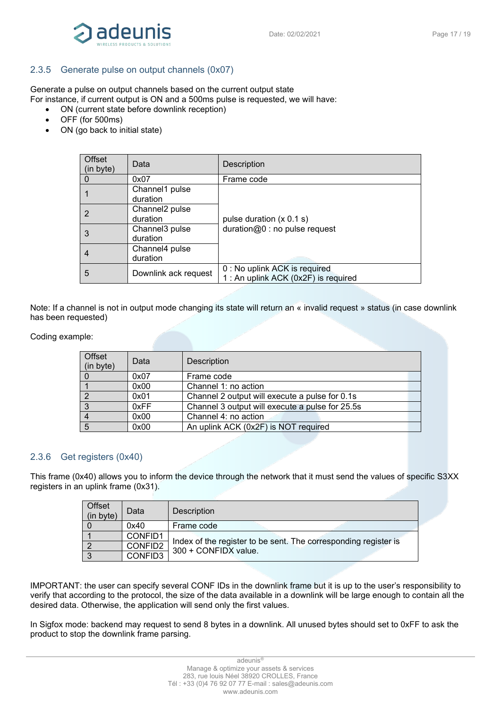

### <span id="page-16-0"></span>2.3.5 Generate pulse on output channels (0x07)

Generate a pulse on output channels based on the current output state

For instance, if current output is ON and a 500ms pulse is requested, we will have:

- ON (current state before downlink reception)
- OFF (for 500ms)
- ON (go back to initial state)

| Offset<br>(in byte) | Data                                   | Description                                                           |
|---------------------|----------------------------------------|-----------------------------------------------------------------------|
|                     | 0x07                                   | Frame code                                                            |
|                     | Channel1 pulse<br>duration             |                                                                       |
| 2                   | Channel <sub>2</sub> pulse<br>duration | pulse duration $(x 0.1 s)$                                            |
| 3                   | Channel3 pulse<br>duration             | duration@0: no pulse request                                          |
| 4                   | Channel4 pulse<br>duration             |                                                                       |
| 5                   | Downlink ack request                   | 0 : No uplink ACK is required<br>1 : An uplink ACK (0x2F) is required |

Note: If a channel is not in output mode changing its state will return an « invalid request » status (in case downlink has been requested)

#### Coding example:

| <b>Offset</b><br>(in byte) | Data | <b>Description</b>                              |
|----------------------------|------|-------------------------------------------------|
|                            | 0x07 | Frame code                                      |
|                            | 0x00 | Channel 1: no action                            |
| 2                          | 0x01 | Channel 2 output will execute a pulse for 0.1s  |
| 3                          | 0xFF | Channel 3 output will execute a pulse for 25.5s |
|                            | 0x00 | Channel 4: no action                            |
| -5                         | 0x00 | An uplink ACK (0x2F) is NOT required            |

#### <span id="page-16-1"></span>2.3.6 Get registers (0x40)

This frame (0x40) allows you to inform the device through the network that it must send the values of specific S3XX registers in an uplink frame (0x31).

| Offset<br>(in byte) | Data    | Description                                                                             |  |
|---------------------|---------|-----------------------------------------------------------------------------------------|--|
|                     | 0x40    | Frame code                                                                              |  |
|                     | CONFID1 |                                                                                         |  |
|                     | CONFID2 | Index of the register to be sent. The corresponding register is<br>300 + CONFIDX value. |  |
|                     | CONFID3 |                                                                                         |  |

IMPORTANT: the user can specify several CONF IDs in the downlink frame but it is up to the user's responsibility to verify that according to the protocol, the size of the data available in a downlink will be large enough to contain all the desired data. Otherwise, the application will send only the first values.

In Sigfox mode: backend may request to send 8 bytes in a downlink. All unused bytes should set to 0xFF to ask the product to stop the downlink frame parsing.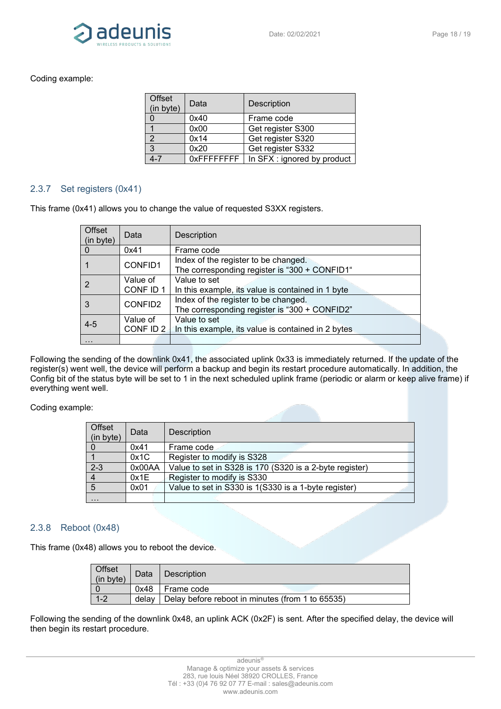

#### Coding example:

| Offset<br>(in byte) | Data        | <b>Description</b>          |
|---------------------|-------------|-----------------------------|
|                     | 0x40        | Frame code                  |
|                     | 0x00        | Get register S300           |
| $\mathcal{P}$       | 0x14        | Get register S320           |
| -3                  | 0x20        | Get register S332           |
|                     | 0xFFFFFFFFF | In SFX : ignored by product |

### <span id="page-17-0"></span>2.3.7 Set registers (0x41)

This frame (0x41) allows you to change the value of requested S3XX registers.

| <b>Offset</b><br>(in byte) | Data                                                                                             | Description                                                                           |  |
|----------------------------|--------------------------------------------------------------------------------------------------|---------------------------------------------------------------------------------------|--|
| $\Omega$                   | 0x41                                                                                             | Frame code                                                                            |  |
|                            | CONFID1                                                                                          | Index of the register to be changed.<br>The corresponding register is "300 + CONFID1" |  |
|                            | Value of<br>CONF ID 1                                                                            | Value to set<br>In this example, its value is contained in 1 byte                     |  |
|                            | Index of the register to be changed.<br>CONFID2<br>The corresponding register is "300 + CONFID2" |                                                                                       |  |
| $4 - 5$                    | Value to set<br>Value of<br>CONF ID 2<br>In this example, its value is contained in 2 bytes      |                                                                                       |  |
| .                          |                                                                                                  |                                                                                       |  |

Following the sending of the downlink 0x41, the associated uplink 0x33 is immediately returned. If the update of the register(s) went well, the device will perform a backup and begin its restart procedure automatically. In addition, the Config bit of the status byte will be set to 1 in the next scheduled uplink frame (periodic or alarm or keep alive frame) if everything went well.

Coding example:

| Offset<br>(in byte) | Data   | Description                                             |  |
|---------------------|--------|---------------------------------------------------------|--|
|                     | 0x41   | Frame code                                              |  |
|                     | 0x1C   | Register to modify is S328                              |  |
| $2 - 3$             | 0x00AA | Value to set in S328 is 170 (S320 is a 2-byte register) |  |
|                     | 0x1E   | Register to modify is S330                              |  |
| 5                   | 0x01   | Value to set in S330 is 1(S330 is a 1-byte register)    |  |
| .                   |        |                                                         |  |

#### <span id="page-17-1"></span>2.3.8 Reboot (0x48)

This frame (0x48) allows you to reboot the device.

| Offset<br>(in byte) | Data  | <b>Description</b>                               |  |
|---------------------|-------|--------------------------------------------------|--|
|                     | 0x48  | Frame code                                       |  |
|                     | delav | Delay before reboot in minutes (from 1 to 65535) |  |

Following the sending of the downlink 0x48, an uplink ACK (0x2F) is sent. After the specified delay, the device will then begin its restart procedure.